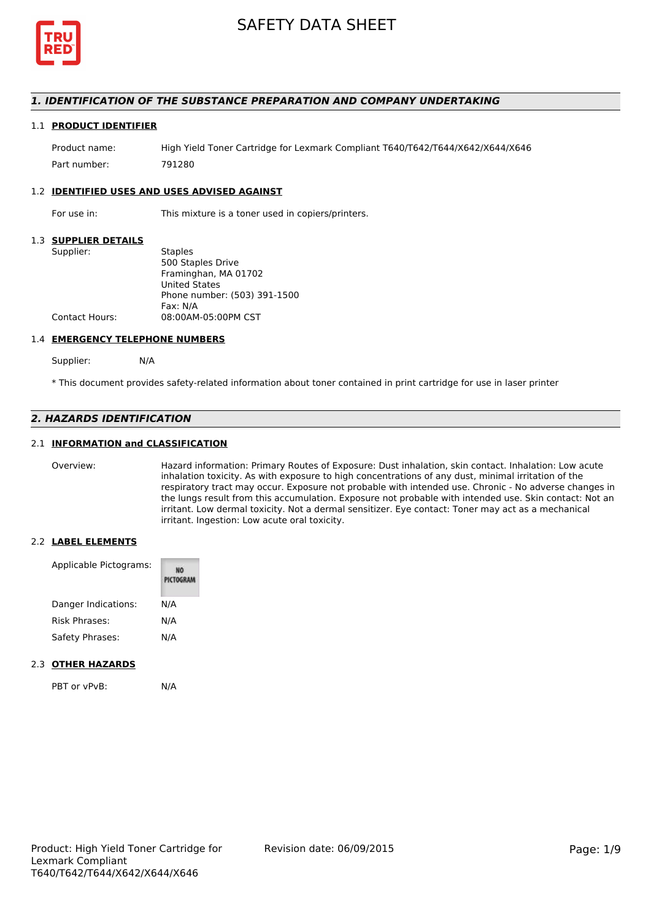

### *1. IDENTIFICATION OF THE SUBSTANCE PREPARATION AND COMPANY UNDERTAKING*

#### 1.1 **PRODUCT IDENTIFIER**

Product name: High Yield Toner Cartridge for Lexmark Compliant T640/T642/T644/X642/X644/X646 Part number: 791280

#### 1.2 **IDENTIFIED USES AND USES ADVISED AGAINST**

For use in: This mixture is a toner used in copiers/printers.

#### 1.3 **SUPPLIER DETAILS**

| Supplier:      | <b>Staples</b>               |
|----------------|------------------------------|
|                | 500 Staples Drive            |
|                | Framinghan, MA 01702         |
|                | <b>United States</b>         |
|                | Phone number: (503) 391-1500 |
|                | Fax: N/A                     |
| Contact Hours: | 08:00AM-05:00PM CST          |
|                |                              |

#### 1.4 **EMERGENCY TELEPHONE NUMBERS**

Supplier: N/A

\* This document provides safety-related information about toner contained in print cartridge for use in laser printer

## *2. HAZARDS IDENTIFICATION*

### 2.1 **INFORMATION and CLASSIFICATION**

Overview: Hazard information: Primary Routes of Exposure: Dust inhalation, skin contact. Inhalation: Low acute inhalation toxicity. As with exposure to high concentrations of any dust, minimal irritation of the respiratory tract may occur. Exposure not probable with intended use. Chronic - No adverse changes in the lungs result from this accumulation. Exposure not probable with intended use. Skin contact: Not an irritant. Low dermal toxicity. Not a dermal sensitizer. Eye contact: Toner may act as a mechanical irritant. Ingestion: Low acute oral toxicity.

#### 2.2 **LABEL ELEMENTS**

| Applicable Pictograms: | PICTOGRAM |  |
|------------------------|-----------|--|
| Danger Indications:    | N/A       |  |
| Risk Phrases:          | N/A       |  |
| Safety Phrases:        | N/A       |  |

#### 2.3 **OTHER HAZARDS**

| PBT or vPvB: | N/A |
|--------------|-----|
|              |     |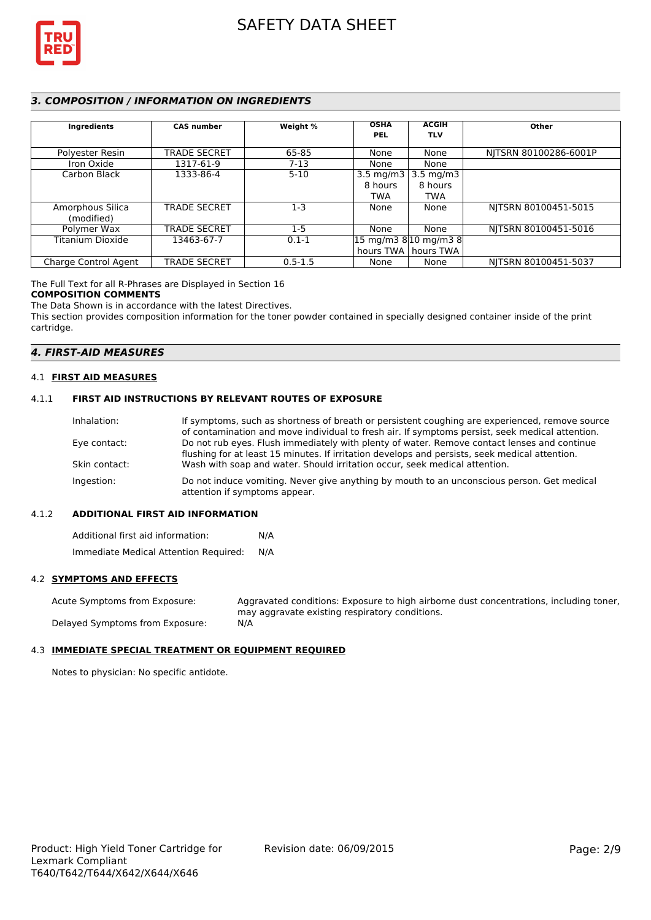

## *3. COMPOSITION / INFORMATION ON INGREDIENTS*

| Ingredients          | <b>CAS number</b>   | Weight %    | <b>OSHA</b><br><b>PEL</b> | <b>ACGIH</b><br><b>TLV</b>                                | Other                 |
|----------------------|---------------------|-------------|---------------------------|-----------------------------------------------------------|-----------------------|
| Polyester Resin      | <b>TRADE SECRET</b> | 65-85       | None                      | None                                                      | NITSRN 80100286-6001P |
| Iron Oxide           | 1317-61-9           | $7-13$      | None                      | None                                                      |                       |
| Carbon Black         | 1333-86-4           | $5 - 10$    | 3.5 mg/m $3$              | $3.5 \text{ mg/m}$                                        |                       |
|                      |                     |             | 8 hours                   | 8 hours                                                   |                       |
|                      |                     |             | <b>TWA</b>                | <b>TWA</b>                                                |                       |
| Amorphous Silica     | <b>TRADE SECRET</b> | $1-3$       | None                      | None                                                      | NITSRN 80100451-5015  |
| (modified)           |                     |             |                           |                                                           |                       |
| Polymer Wax          | <b>TRADE SECRET</b> | $1 - 5$     | None                      | None                                                      | NITSRN 80100451-5016  |
| Titanium Dioxide     | 13463-67-7          | $0.1 - 1$   |                           | $ 15 \text{ mg/m}3 \text{ g} 10 \text{ mg/m}3 \text{ g} $ |                       |
|                      |                     |             |                           | hours TWA   hours TWA                                     |                       |
| Charge Control Agent | <b>TRADE SECRET</b> | $0.5 - 1.5$ | None                      | None                                                      | NITSRN 80100451-5037  |

The Full Text for all R-Phrases are Displayed in Section 16

#### **COMPOSITION COMMENTS**

The Data Shown is in accordance with the latest Directives.

This section provides composition information for the toner powder contained in specially designed container inside of the print cartridge.

#### *4. FIRST-AID MEASURES*

#### 4.1 **FIRST AID MEASURES**

#### 4.1.1 **FIRST AID INSTRUCTIONS BY RELEVANT ROUTES OF EXPOSURE**

| If symptoms, such as shortness of breath or persistent coughing are experienced, remove source                              |
|-----------------------------------------------------------------------------------------------------------------------------|
| of contamination and move individual to fresh air. If symptoms persist, seek medical attention.                             |
| Do not rub eyes. Flush immediately with plenty of water. Remove contact lenses and continue                                 |
| flushing for at least 15 minutes. If irritation develops and persists, seek medical attention.                              |
| Wash with soap and water. Should irritation occur, seek medical attention.                                                  |
| Do not induce vomiting. Never give anything by mouth to an unconscious person. Get medical<br>attention if symptoms appear. |
|                                                                                                                             |

#### 4.1.2 **ADDITIONAL FIRST AID INFORMATION**

Additional first aid information: N/A Immediate Medical Attention Required: N/A

#### 4.2 **SYMPTOMS AND EFFECTS**

Acute Symptoms from Exposure: Aggravated conditions: Exposure to high airborne dust concentrations, including toner, may aggravate existing respiratory conditions. Delayed Symptoms from Exposure: N/A

## 4.3 **IMMEDIATE SPECIAL TREATMENT OR EQUIPMENT REQUIRED**

Notes to physician: No specific antidote.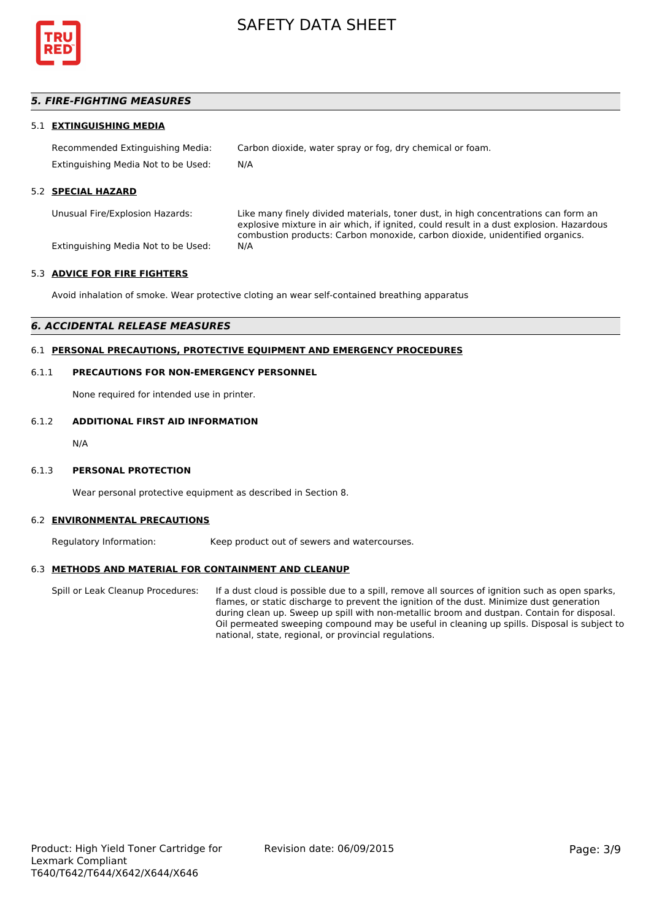

## *5. FIRE-FIGHTING MEASURES*

#### 5.1 **EXTINGUISHING MEDIA**

Recommended Extinguishing Media: Carbon dioxide, water spray or fog, dry chemical or foam. Extinguishing Media Not to be Used: N/A

#### 5.2 **SPECIAL HAZARD**

Unusual Fire/Explosion Hazards: Like many finely divided materials, toner dust, in high concentrations can form an explosive mixture in air which, if ignited, could result in a dust explosion. Hazardous combustion products: Carbon monoxide, carbon dioxide, unidentified organics.

Extinguishing Media Not to be Used: N/A

#### 5.3 **ADVICE FOR FIRE FIGHTERS**

Avoid inhalation of smoke. Wear protective cloting an wear self-contained breathing apparatus

#### *6. ACCIDENTAL RELEASE MEASURES*

### 6.1 **PERSONAL PRECAUTIONS, PROTECTIVE EQUIPMENT AND EMERGENCY PROCEDURES**

#### 6.1.1 **PRECAUTIONS FOR NON-EMERGENCY PERSONNEL**

None required for intended use in printer.

#### 6.1.2 **ADDITIONAL FIRST AID INFORMATION**

N/A

#### 6.1.3 **PERSONAL PROTECTION**

Wear personal protective equipment as described in Section 8.

#### 6.2 **ENVIRONMENTAL PRECAUTIONS**

Regulatory Information: Keep product out of sewers and watercourses.

#### 6.3 **METHODS AND MATERIAL FOR CONTAINMENT AND CLEANUP**

Spill or Leak Cleanup Procedures: If a dust cloud is possible due to a spill, remove all sources of ignition such as open sparks, flames, or static discharge to prevent the ignition of the dust. Minimize dust generation during clean up. Sweep up spill with non-metallic broom and dustpan. Contain for disposal. Oil permeated sweeping compound may be useful in cleaning up spills. Disposal is subject to national, state, regional, or provincial regulations.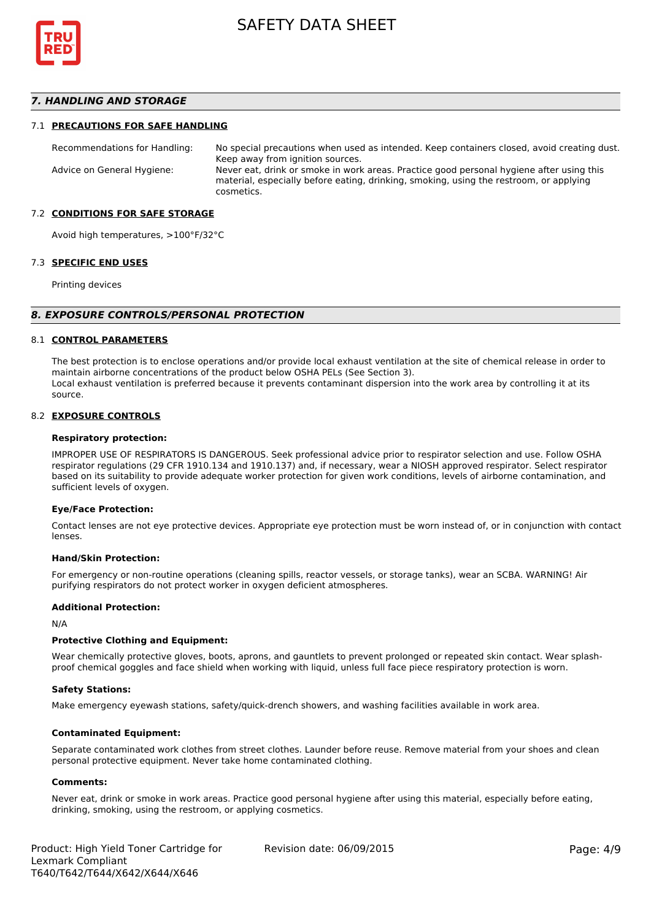

#### *7. HANDLING AND STORAGE*

#### 7.1 **PRECAUTIONS FOR SAFE HANDLING**

Recommendations for Handling: No special precautions when used as intended. Keep containers closed, avoid creating dust. Keep away from ignition sources. Advice on General Hygiene: Never eat, drink or smoke in work areas. Practice good personal hygiene after using this material, especially before eating, drinking, smoking, using the restroom, or applying cosmetics.

#### 7.2 **CONDITIONS FOR SAFE STORAGE**

Avoid high temperatures, >100°F/32°C

#### 7.3 **SPECIFIC END USES**

Printing devices

#### *8. EXPOSURE CONTROLS/PERSONAL PROTECTION*

#### 8.1 **CONTROL PARAMETERS**

The best protection is to enclose operations and/or provide local exhaust ventilation at the site of chemical release in order to maintain airborne concentrations of the product below OSHA PELs (See Section 3). Local exhaust ventilation is preferred because it prevents contaminant dispersion into the work area by controlling it at its source.

#### 8.2 **EXPOSURE CONTROLS**

#### **Respiratory protection:**

IMPROPER USE OF RESPIRATORS IS DANGEROUS. Seek professional advice prior to respirator selection and use. Follow OSHA respirator regulations (29 CFR 1910.134 and 1910.137) and, if necessary, wear a NIOSH approved respirator. Select respirator based on its suitability to provide adequate worker protection for given work conditions, levels of airborne contamination, and sufficient levels of oxygen.

#### **Eye/Face Protection:**

Contact lenses are not eye protective devices. Appropriate eye protection must be worn instead of, or in conjunction with contact lenses.

#### **Hand/Skin Protection:**

For emergency or non-routine operations (cleaning spills, reactor vessels, or storage tanks), wear an SCBA. WARNING! Air purifying respirators do not protect worker in oxygen deficient atmospheres.

#### **Additional Protection:**

N/A

#### **Protective Clothing and Equipment:**

Wear chemically protective gloves, boots, aprons, and gauntlets to prevent prolonged or repeated skin contact. Wear splashproof chemical goggles and face shield when working with liquid, unless full face piece respiratory protection is worn.

#### **Safety Stations:**

Make emergency eyewash stations, safety/quick-drench showers, and washing facilities available in work area.

#### **Contaminated Equipment:**

Separate contaminated work clothes from street clothes. Launder before reuse. Remove material from your shoes and clean personal protective equipment. Never take home contaminated clothing.

#### **Comments:**

Never eat, drink or smoke in work areas. Practice good personal hygiene after using this material, especially before eating, drinking, smoking, using the restroom, or applying cosmetics.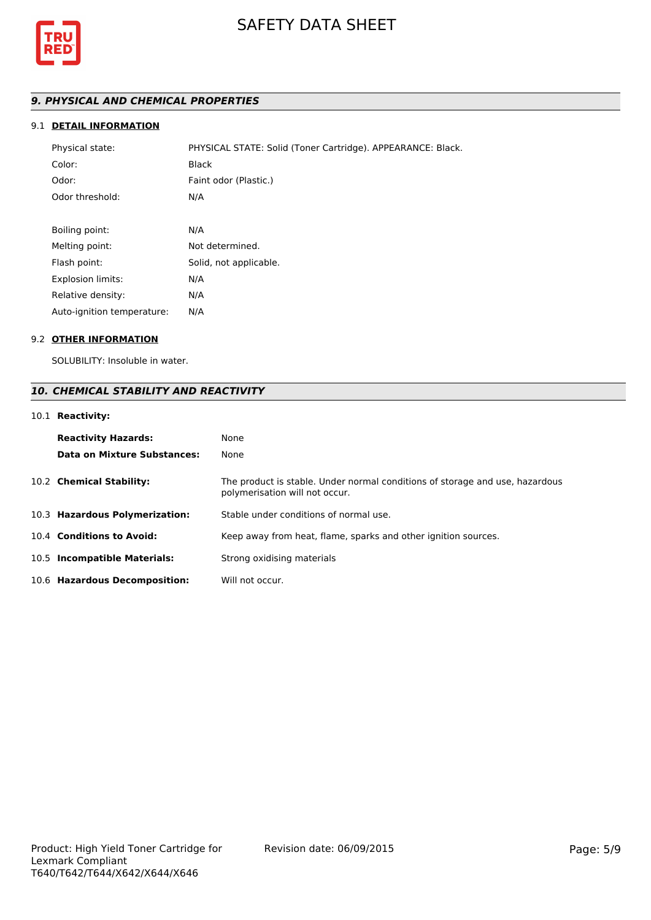

# *9. PHYSICAL AND CHEMICAL PROPERTIES*

## 9.1 **DETAIL INFORMATION**

| Physical state:            | PHYSICAL STATE: Solid (Toner Cartridge). APPEARANCE: Black. |
|----------------------------|-------------------------------------------------------------|
| Color:                     | <b>Black</b>                                                |
| Odor:                      | Faint odor (Plastic.)                                       |
| Odor threshold:            | N/A                                                         |
|                            |                                                             |
| Boiling point:             | N/A                                                         |
| Melting point:             | Not determined.                                             |
| Flash point:               | Solid, not applicable.                                      |
| <b>Explosion limits:</b>   | N/A                                                         |
| Relative density:          | N/A                                                         |
| Auto-ignition temperature: | N/A                                                         |

## 9.2 **OTHER INFORMATION**

SOLUBILITY: Insoluble in water.

# *10. CHEMICAL STABILITY AND REACTIVITY*

# 10.1 **Reactivity:**

| <b>Reactivity Hazards:</b><br>Data on Mixture Substances: | None<br>None                                                                                                   |
|-----------------------------------------------------------|----------------------------------------------------------------------------------------------------------------|
| 10.2 Chemical Stability:                                  | The product is stable. Under normal conditions of storage and use, hazardous<br>polymerisation will not occur. |
| 10.3 Hazardous Polymerization:                            | Stable under conditions of normal use.                                                                         |
| 10.4 Conditions to Avoid:                                 | Keep away from heat, flame, sparks and other ignition sources.                                                 |
| 10.5 Incompatible Materials:                              | Strong oxidising materials                                                                                     |
| 10.6 Hazardous Decomposition:                             | Will not occur.                                                                                                |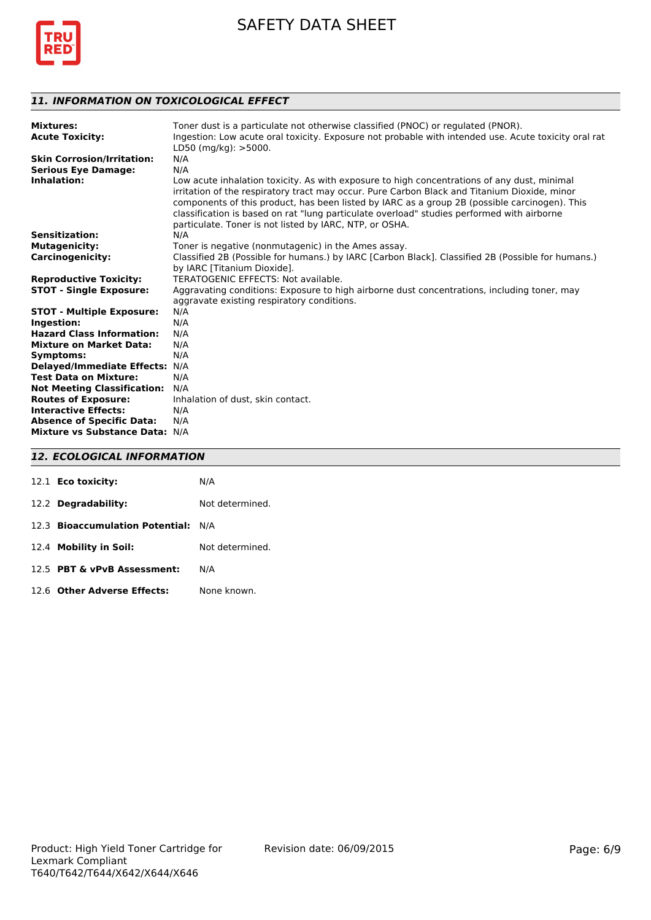

# *11. INFORMATION ON TOXICOLOGICAL EFFECT*

| <b>Mixtures:</b><br><b>Acute Toxicity:</b> | Toner dust is a particulate not otherwise classified (PNOC) or regulated (PNOR).<br>Ingestion: Low acute oral toxicity. Exposure not probable with intended use. Acute toxicity oral rat<br>LD50 (mg/kg): >5000.                                                                                                                                                                                                                                      |
|--------------------------------------------|-------------------------------------------------------------------------------------------------------------------------------------------------------------------------------------------------------------------------------------------------------------------------------------------------------------------------------------------------------------------------------------------------------------------------------------------------------|
| <b>Skin Corrosion/Irritation:</b>          | N/A                                                                                                                                                                                                                                                                                                                                                                                                                                                   |
| <b>Serious Eye Damage:</b>                 | N/A                                                                                                                                                                                                                                                                                                                                                                                                                                                   |
| Inhalation:                                | Low acute inhalation toxicity. As with exposure to high concentrations of any dust, minimal<br>irritation of the respiratory tract may occur. Pure Carbon Black and Titanium Dioxide, minor<br>components of this product, has been listed by IARC as a group 2B (possible carcinogen). This<br>classification is based on rat "lung particulate overload" studies performed with airborne<br>particulate. Toner is not listed by IARC, NTP, or OSHA. |
| <b>Sensitization:</b>                      | N/A                                                                                                                                                                                                                                                                                                                                                                                                                                                   |
| <b>Mutagenicity:</b>                       | Toner is negative (nonmutagenic) in the Ames assay.                                                                                                                                                                                                                                                                                                                                                                                                   |
| <b>Carcinogenicity:</b>                    | Classified 2B (Possible for humans.) by IARC [Carbon Black]. Classified 2B (Possible for humans.)<br>by IARC [Titanium Dioxide].                                                                                                                                                                                                                                                                                                                      |
| <b>Reproductive Toxicity:</b>              | TERATOGENIC EFFECTS: Not available.                                                                                                                                                                                                                                                                                                                                                                                                                   |
| <b>STOT - Single Exposure:</b>             | Aggravating conditions: Exposure to high airborne dust concentrations, including toner, may<br>aggravate existing respiratory conditions.                                                                                                                                                                                                                                                                                                             |
| <b>STOT - Multiple Exposure:</b>           | N/A                                                                                                                                                                                                                                                                                                                                                                                                                                                   |
| Ingestion:                                 | N/A                                                                                                                                                                                                                                                                                                                                                                                                                                                   |
| <b>Hazard Class Information:</b>           | N/A                                                                                                                                                                                                                                                                                                                                                                                                                                                   |
| <b>Mixture on Market Data:</b>             | N/A                                                                                                                                                                                                                                                                                                                                                                                                                                                   |
| Symptoms:                                  | N/A                                                                                                                                                                                                                                                                                                                                                                                                                                                   |
| <b>Delayed/Immediate Effects:</b>          | N/A                                                                                                                                                                                                                                                                                                                                                                                                                                                   |
| <b>Test Data on Mixture:</b>               | N/A                                                                                                                                                                                                                                                                                                                                                                                                                                                   |
| <b>Not Meeting Classification:</b>         | N/A                                                                                                                                                                                                                                                                                                                                                                                                                                                   |
| <b>Routes of Exposure:</b>                 | Inhalation of dust, skin contact.                                                                                                                                                                                                                                                                                                                                                                                                                     |
| <b>Interactive Effects:</b>                | N/A                                                                                                                                                                                                                                                                                                                                                                                                                                                   |
| <b>Absence of Specific Data:</b>           | N/A                                                                                                                                                                                                                                                                                                                                                                                                                                                   |
| Mixture vs Substance Data: N/A             |                                                                                                                                                                                                                                                                                                                                                                                                                                                       |

# *12. ECOLOGICAL INFORMATION*

| 12.1 <b>Eco toxicity:</b>           | N/A             |
|-------------------------------------|-----------------|
| 12.2 Degradability:                 | Not determined. |
| 12.3 Bioaccumulation Potential: N/A |                 |
| 12.4 Mobility in Soil:              | Not determined. |
| 12.5 PBT & vPvB Assessment:         | N/A             |
| 12.6 Other Adverse Effects:         | None known.     |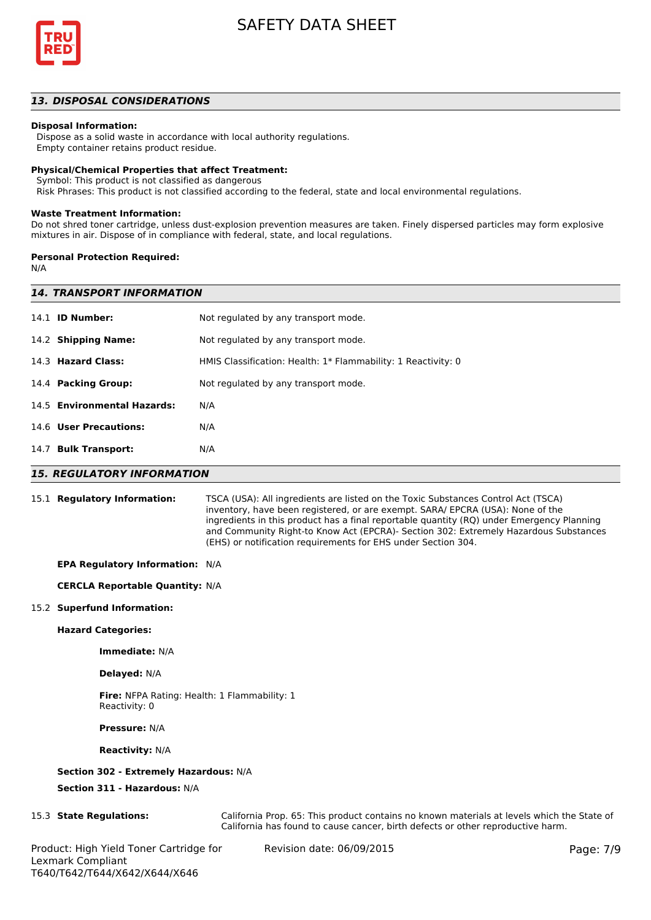

#### *13. DISPOSAL CONSIDERATIONS*

#### **Disposal Information:**

 Dispose as a solid waste in accordance with local authority regulations. Empty container retains product residue.

## **Physical/Chemical Properties that affect Treatment:**

Symbol: This product is not classified as dangerous

Risk Phrases: This product is not classified according to the federal, state and local environmental regulations.

#### **Waste Treatment Information:**

Do not shred toner cartridge, unless dust-explosion prevention measures are taken. Finely dispersed particles may form explosive mixtures in air. Dispose of in compliance with federal, state, and local regulations.

#### **Personal Protection Required:**

N/A

|      | <b>14. TRANSPORT INFORMATION</b> |                                                               |  |  |
|------|----------------------------------|---------------------------------------------------------------|--|--|
|      | 14.1 <b>ID Number:</b>           | Not regulated by any transport mode.                          |  |  |
|      | 14.2 Shipping Name:              | Not regulated by any transport mode.                          |  |  |
|      | 14.3 Hazard Class:               | HMIS Classification: Health: 1* Flammability: 1 Reactivity: 0 |  |  |
|      | 14.4 Packing Group:              | Not regulated by any transport mode.                          |  |  |
|      | 14.5 Environmental Hazards:      | N/A                                                           |  |  |
|      | 14.6 User Precautions:           | N/A                                                           |  |  |
| 14.7 | <b>Bulk Transport:</b>           | N/A                                                           |  |  |
|      |                                  |                                                               |  |  |

#### *15. REGULATORY INFORMATION*

15.1 **Regulatory Information:** TSCA (USA): All ingredients are listed on the Toxic Substances Control Act (TSCA) inventory, have been registered, or are exempt. SARA/ EPCRA (USA): None of the ingredients in this product has a final reportable quantity (RQ) under Emergency Planning and Community Right-to Know Act (EPCRA)- Section 302: Extremely Hazardous Substances (EHS) or notification requirements for EHS under Section 304.

#### **EPA Regulatory Information:** N/A

#### **CERCLA Reportable Quantity:** N/A

#### 15.2 **Superfund Information:**

#### **Hazard Categories:**

**Immediate:** N/A

#### **Delayed:** N/A

**Fire:** NFPA Rating: Health: 1 Flammability: 1 Reactivity: 0

**Pressure:** N/A

#### **Reactivity:** N/A

#### **Section 302 - Extremely Hazardous:** N/A

**Section 311 - Hazardous:** N/A

15.3 **State Regulations:** California Prop. 65: This product contains no known materials at levels which the State of California has found to cause cancer, birth defects or other reproductive harm.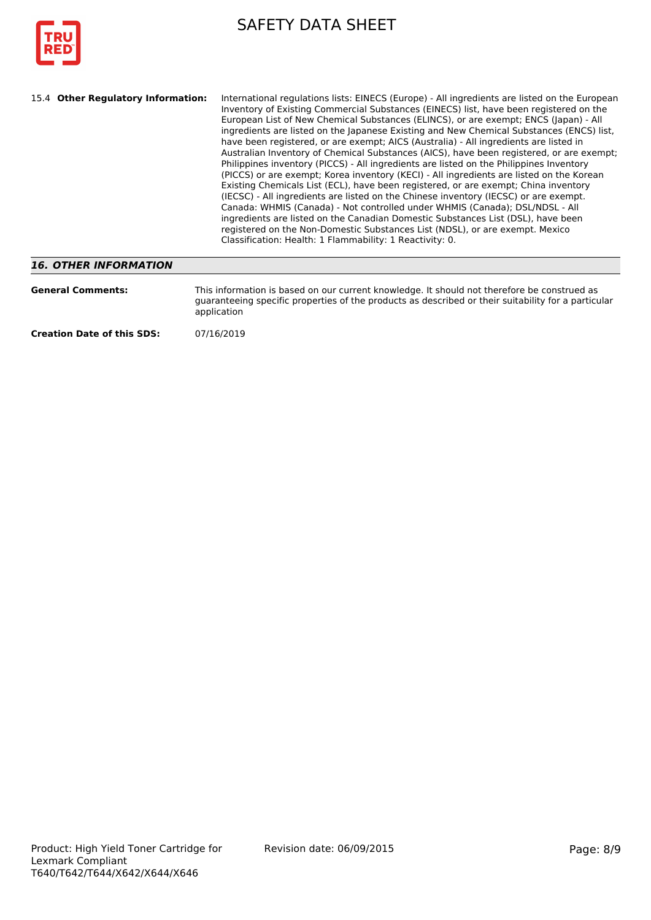

| International regulations lists: EINECS (Europe) - All ingredients are listed on the European<br>15.4 Other Regulatory Information:<br>Inventory of Existing Commercial Substances (EINECS) list, have been registered on the<br>European List of New Chemical Substances (ELINCS), or are exempt; ENCS (Japan) - All<br>ingredients are listed on the Japanese Existing and New Chemical Substances (ENCS) list,<br>have been registered, or are exempt; AICS (Australia) - All ingredients are listed in<br>Australian Inventory of Chemical Substances (AICS), have been registered, or are exempt;<br>Philippines inventory (PICCS) - All ingredients are listed on the Philippines Inventory<br>(PICCS) or are exempt; Korea inventory (KECI) - All ingredients are listed on the Korean<br>Existing Chemicals List (ECL), have been registered, or are exempt; China inventory<br>(IECSC) - All ingredients are listed on the Chinese inventory (IECSC) or are exempt.<br>Canada: WHMIS (Canada) - Not controlled under WHMIS (Canada); DSL/NDSL - All<br>ingredients are listed on the Canadian Domestic Substances List (DSL), have been<br>registered on the Non-Domestic Substances List (NDSL), or are exempt. Mexico<br>Classification: Health: 1 Flammability: 1 Reactivity: 0. |
|----------------------------------------------------------------------------------------------------------------------------------------------------------------------------------------------------------------------------------------------------------------------------------------------------------------------------------------------------------------------------------------------------------------------------------------------------------------------------------------------------------------------------------------------------------------------------------------------------------------------------------------------------------------------------------------------------------------------------------------------------------------------------------------------------------------------------------------------------------------------------------------------------------------------------------------------------------------------------------------------------------------------------------------------------------------------------------------------------------------------------------------------------------------------------------------------------------------------------------------------------------------------------------------------|
|----------------------------------------------------------------------------------------------------------------------------------------------------------------------------------------------------------------------------------------------------------------------------------------------------------------------------------------------------------------------------------------------------------------------------------------------------------------------------------------------------------------------------------------------------------------------------------------------------------------------------------------------------------------------------------------------------------------------------------------------------------------------------------------------------------------------------------------------------------------------------------------------------------------------------------------------------------------------------------------------------------------------------------------------------------------------------------------------------------------------------------------------------------------------------------------------------------------------------------------------------------------------------------------------|

## *16. OTHER INFORMATION*

| <b>General Comments:</b>          | This information is based on our current knowledge. It should not therefore be construed as<br>quaranteeing specific properties of the products as described or their suitability for a particular<br>application |
|-----------------------------------|-------------------------------------------------------------------------------------------------------------------------------------------------------------------------------------------------------------------|
| <b>Creation Date of this SDS:</b> | 07/16/2019                                                                                                                                                                                                        |